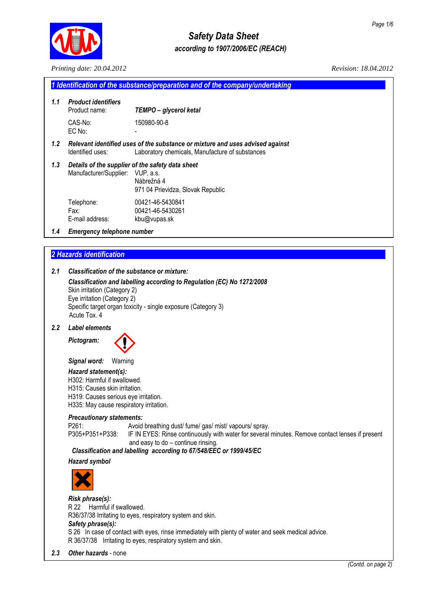

# *Safety Data Sheet according to 1907/2006/EC (REACH)*

|     | Printing date: 20.04.2012                                                                                                                                                                          | Revision: 18.04.2012                                                                                                                                                                                                                                                  |
|-----|----------------------------------------------------------------------------------------------------------------------------------------------------------------------------------------------------|-----------------------------------------------------------------------------------------------------------------------------------------------------------------------------------------------------------------------------------------------------------------------|
|     |                                                                                                                                                                                                    | 1 Identification of the substance/preparation and of the company/undertaking                                                                                                                                                                                          |
| 1.1 | <b>Product identifiers</b><br>Product name:                                                                                                                                                        | TEMPO - glycerol ketal                                                                                                                                                                                                                                                |
|     | CAS-No:<br>EC No:                                                                                                                                                                                  | 150980-90-8                                                                                                                                                                                                                                                           |
| 1.2 | Identified uses:                                                                                                                                                                                   | Relevant identified uses of the substance or mixture and uses advised against<br>Laboratory chemicals, Manufacture of substances                                                                                                                                      |
| 1.3 | Manufacturer/Supplier:                                                                                                                                                                             | Details of the supplier of the safety data sheet<br>VUP, a.s.<br>Nábrežná 4<br>971 04 Prievidza, Slovak Republic                                                                                                                                                      |
|     | Telephone:<br>Fax:<br>E-mail address:                                                                                                                                                              | 00421-46-5430841<br>00421-46-5430261<br>kbu@vupas.sk                                                                                                                                                                                                                  |
| 1.4 | <b>Emergency telephone number</b>                                                                                                                                                                  |                                                                                                                                                                                                                                                                       |
|     |                                                                                                                                                                                                    |                                                                                                                                                                                                                                                                       |
|     | 2 Hazards identification                                                                                                                                                                           |                                                                                                                                                                                                                                                                       |
| 2.1 | <b>Classification of the substance or mixture:</b>                                                                                                                                                 |                                                                                                                                                                                                                                                                       |
|     | Skin irritation (Category 2)<br>Eye irritation (Category 2)<br>Acute Tox, 4                                                                                                                        | Classification and labelling according to Regulation (EC) No 1272/2008<br>Specific target organ toxicity - single exposure (Category 3)                                                                                                                               |
| 2.2 | <b>Label elements</b>                                                                                                                                                                              |                                                                                                                                                                                                                                                                       |
|     | Pictogram:                                                                                                                                                                                         |                                                                                                                                                                                                                                                                       |
|     | Signal word:<br>Warning<br>Hazard statement(s):<br>H302: Harmful if swallowed.<br>H315: Causes skin irritation.<br>H319: Causes serious eye irritation.<br>H335: May cause respiratory irritation. |                                                                                                                                                                                                                                                                       |
|     | <b>Precautionary statements:</b><br>P261:<br>P305+P351+P338:                                                                                                                                       | Avoid breathing dust/ fume/ gas/ mist/ vapours/ spray.<br>IF IN EYES: Rinse continuously with water for several minutes. Remove contact lenses if present<br>and easy to do - continue rinsing.<br>Classification and labelling according to 67/548/EEC or 1999/45/EC |
|     | <b>Hazard symbol</b>                                                                                                                                                                               |                                                                                                                                                                                                                                                                       |
|     |                                                                                                                                                                                                    |                                                                                                                                                                                                                                                                       |
|     | Risk phrase(s):<br>R 22 Harmful if swallowed.<br>Safety phrase(s):                                                                                                                                 | R36/37/38 Irritating to eyes, respiratory system and skin.<br>S 26 In case of contact with eyes, rinse immediately with plenty of water and seek medical advice.<br>R 36/37/38 Irritating to eyes, respiratory system and skin.                                       |
| 2.3 | Other hazards - none                                                                                                                                                                               |                                                                                                                                                                                                                                                                       |
|     |                                                                                                                                                                                                    | (Contd. on page 2)                                                                                                                                                                                                                                                    |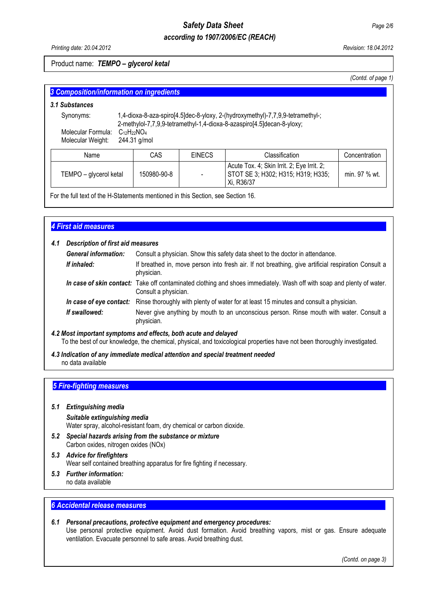## *Safety Data Sheet Page 2/6 according to 1907/2006/EC (REACH)*

## Product name: *TEMPO – glycerol ketal*

*(Contd. of page 1)* 

| 3 Composition/information on ingredients |                                                                                                                                                          |              |               |                                                                                                |               |
|------------------------------------------|----------------------------------------------------------------------------------------------------------------------------------------------------------|--------------|---------------|------------------------------------------------------------------------------------------------|---------------|
| 3.1 Substances                           |                                                                                                                                                          |              |               |                                                                                                |               |
| Synonyms:                                | 1,4-dioxa-8-aza-spiro[4.5]dec-8-yloxy, 2-(hydroxymethyl)-7,7,9,9-tetramethyl-;<br>2-methylol-7,7,9,9-tetramethyl-1,4-dioxa-8-azaspiro[4.5]decan-8-yloxy; |              |               |                                                                                                |               |
| Molecular Formula:<br>Molecular Weight:  | $C_{12}H_{22}NO_4$                                                                                                                                       | 244.31 g/mol |               |                                                                                                |               |
| Name                                     |                                                                                                                                                          | CAS          | <b>EINECS</b> | Classification                                                                                 | Concentration |
| TEMPO - glycerol ketal                   |                                                                                                                                                          | 150980-90-8  |               | Acute Tox. 4; Skin Irrit. 2; Eye Irrit. 2;<br>STOT SE 3; H302; H315; H319; H335;<br>Xi, R36/37 | min. 97 % wt. |

For the full text of the H-Statements mentioned in this Section, see Section 16.

## *4 First aid measures......................................................................................................................................................*

## *4.1 Description of first aid measures*

| <b>General information:</b> | Consult a physician. Show this safety data sheet to the doctor in attendance.                                                                  |
|-----------------------------|------------------------------------------------------------------------------------------------------------------------------------------------|
| If inhaled:                 | If breathed in, move person into fresh air. If not breathing, give artificial respiration Consult a<br>physician.                              |
|                             | In case of skin contact: Take off contaminated clothing and shoes immediately. Wash off with soap and plenty of water.<br>Consult a physician. |
|                             | In case of eye contact: Rinse thoroughly with plenty of water for at least 15 minutes and consult a physician.                                 |
| If swallowed:               | Never give anything by mouth to an unconscious person. Rinse mouth with water. Consult a<br>physician.                                         |

#### *4.2 Most important symptoms and effects, both acute and delayed*  To the best of our knowledge, the chemical, physical, and toxicological properties have not been thoroughly investigated.

*4.3 Indication of any immediate medical attention and special treatment needed*  no data available

## **5 Fire-fighting measures**

#### *5.1 Extinguishing media*

## *Suitable extinguishing media*  Water spray, alcohol-resistant foam, dry chemical or carbon dioxide.

*5.2 Special hazards arising from the substance or mixture*  Carbon oxides, nitrogen oxides (NOx)

## *5.3 Advice for firefighters*  Wear self contained breathing apparatus for fire fighting if necessary.

- *5.3 Further information:* 
	- no data available

## **6 Accidental release measures**

#### *6.1 Personal precautions, protective equipment and emergency procedures:*  Use personal protective equipment. Avoid dust formation. Avoid breathing vapors, mist or gas. Ensure adequate ventilation. Evacuate personnel to safe areas. Avoid breathing dust.

*(Contd. on page 3)*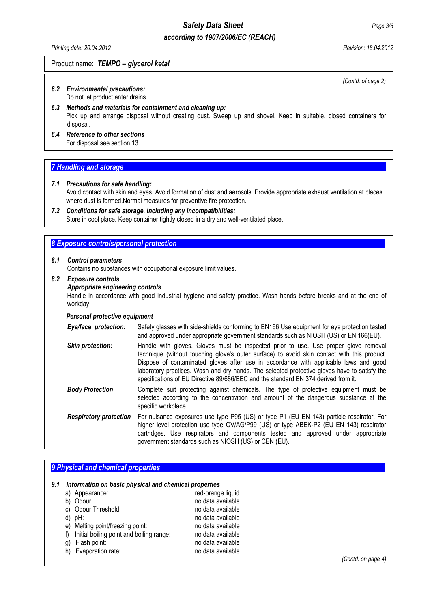## *according to 1907/2006/EC (REACH)*

#### Product name: *TEMPO – glycerol ketal*

*(Contd. of page 2)* 

#### *6.2 Environmental precautions:*  Do not let product enter drains.

- *6.3 Methods and materials for containment and cleaning up:*  Pick up and arrange disposal without creating dust. Sweep up and shovel. Keep in suitable, closed containers for disposal.
- *6.4 Reference to other sections*  For disposal see section 13.

## **7 Handling and storage**

#### *7.1 Precautions for safe handling:*

 Avoid contact with skin and eyes. Avoid formation of dust and aerosols. Provide appropriate exhaust ventilation at places where dust is formed.Normal measures for preventive fire protection.

#### *7.2 Conditions for safe storage, including any incompatibilities:* Store in cool place. Keep container tightly closed in a dry and well-ventilated place.

#### **8 Exposure controls/personal protection**

#### *8.1 Control parameters*

Contains no substances with occupational exposure limit values.

#### *8.2 Exposure controls*

#### *Appropriate engineering controls*

 Handle in accordance with good industrial hygiene and safety practice. Wash hands before breaks and at the end of workday.

#### *Personal protective equipment*

| Eye/face protection:          | Safety glasses with side-shields conforming to EN166 Use equipment for eye protection tested<br>and approved under appropriate government standards such as NIOSH (US) or EN 166(EU).                                                                                                                                                                                                                                                                            |
|-------------------------------|------------------------------------------------------------------------------------------------------------------------------------------------------------------------------------------------------------------------------------------------------------------------------------------------------------------------------------------------------------------------------------------------------------------------------------------------------------------|
| <b>Skin protection:</b>       | Handle with gloves. Gloves must be inspected prior to use. Use proper glove removal<br>technique (without touching glove's outer surface) to avoid skin contact with this product.<br>Dispose of contaminated gloves after use in accordance with applicable laws and good<br>laboratory practices. Wash and dry hands. The selected protective gloves have to satisfy the<br>specifications of EU Directive 89/686/EEC and the standard EN 374 derived from it. |
| <b>Body Protection</b>        | Complete suit protecting against chemicals. The type of protective equipment must be<br>selected according to the concentration and amount of the dangerous substance at the<br>specific workplace.                                                                                                                                                                                                                                                              |
| <b>Respiratory protection</b> | For nuisance exposures use type P95 (US) or type P1 (EU EN 143) particle respirator. For<br>higher level protection use type OV/AG/P99 (US) or type ABEK-P2 (EU EN 143) respirator<br>cartridges. Use respirators and components tested and approved under appropriate<br>government standards such as NIOSH (US) or CEN (EU).                                                                                                                                   |

## **9 Physical and chemical properties** *9.1 Information on basic physical and chemical properties*  a) Appearance: red-orange liquid b) Odour: no data available c) Odour Threshold: no data available d) pH: no data available e) Melting point/freezing point: no data available f) Initial boiling point and boiling range: no data available g) Flash point:<br>
h) Evaporation rate: no data available<br>
h) Evaporation rate: no data available h) Evaporation rate: *(Contd. on page 4)*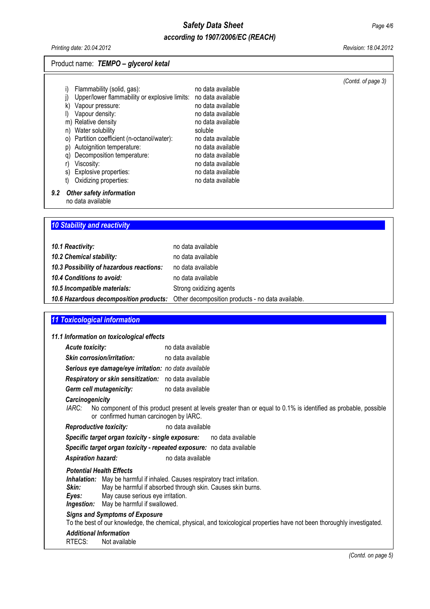## Product name: *TEMPO – glycerol ketal*

|     | k)<br>n)       | Vapour pressure:<br>Vapour density:<br>m) Relative density<br>Water solubility                                                                                         | no data available<br>no data available<br>no data available<br>soluble                                                     |  |
|-----|----------------|------------------------------------------------------------------------------------------------------------------------------------------------------------------------|----------------------------------------------------------------------------------------------------------------------------|--|
|     | p)<br>q)<br>S) | o) Partition coefficient (n-octanol/water):<br>Autoignition temperature:<br>Decomposition temperature:<br>Viscosity:<br>Explosive properties:<br>Oxidizing properties: | no data available<br>no data available<br>no data available<br>no data available<br>no data available<br>no data available |  |
| 9.2 |                | Other safety information                                                                                                                                               |                                                                                                                            |  |

no data available

## **10 Stability and reactivity**

| 10.1 Reactivity:                         | no data available                                                                        |
|------------------------------------------|------------------------------------------------------------------------------------------|
| 10.2 Chemical stability:                 | no data available                                                                        |
| 10.3 Possibility of hazardous reactions: | no data available                                                                        |
| 10.4 Conditions to avoid:                | no data available                                                                        |
| 10.5 Incompatible materials:             | Strong oxidizing agents                                                                  |
|                                          | 10.6 Hazardous decomposition products: Other decomposition products - no data available. |

#### *11 Toxicological information........................................................................................................................................*

## *11.1 Information on toxicological effects Acute toxicity:* no data available *Skin corrosion/irritation:* no data available  *Serious eye damage/eye irritation: no data available Respiratory or skin sensitization:* no data available  *Germ cell mutagenicity:* no data available  *Carcinogenicity IARC:* No component of this product present at levels greater than or equal to 0.1% is identified as probable, possible or confirmed human carcinogen by IARC. **Reproductive toxicity:** no data available  *Specific target organ toxicity - single exposure:* no data available  *Specific target organ toxicity - repeated exposure:* no data available **Aspiration hazard:** no data available  *Potential Health Effects*  **Inhalation:** May be harmful if inhaled. Causes respiratory tract irritation.<br>**Skin:** May be harmful if absorbed through skin. Causes skin burns  *Skin:* May be harmful if absorbed through skin. Causes skin burns. **Eyes:** May cause serious eye irritation.  *Ingestion:* May be harmful if swallowed. *Signs and Symptoms of Exposure*  To the best of our knowledge, the chemical, physical, and toxicological properties have not been thoroughly investigated.  *Additional Information*  **Not available**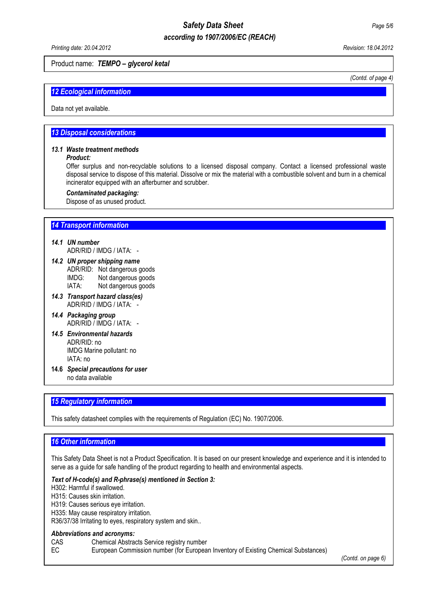# *Safety Data Sheet Page 5/6*

## *according to 1907/2006/EC (REACH)*

#### Product name: *TEMPO – glycerol ketal*

*(Contd. of page 4)* 

## *12 Ecological information.............................................................................................................................................*

Data not yet available.

#### *13 Disposal considerations..........................................................................................................................................*

## *13.1 Waste treatment methods*

### *Product:*

 Offer surplus and non-recyclable solutions to a licensed disposal company. Contact a licensed professional waste disposal service to dispose of this material. Dissolve or mix the material with a combustible solvent and burn in a chemical incinerator equipped with an afterburner and scrubber.

#### *Contaminated packaging:*

Dispose of as unused product.

## *14 Transport information..............................................................................................................................................*

## *14.1 UN number*

ADR/RID / IMDG / IATA: -

- *14.2 UN proper shipping name*  ADR/RID: Not dangerous goods IMDG: Not dangerous goods IATA: Not dangerous goods
- *14.3 Transport hazard class(es)*  ADR/RID / IMDG / IATA: -
- *14.4 Packaging group*  ADR/RID / IMDG / IATA: -
- *14.5 Environmental hazards*  ADR/RID: no IMDG Marine pollutant: no IATA: no
- **14.6** *Special precautions for user*  no data available

## **15 Regulatory information**

This safety datasheet complies with the requirements of Regulation (EC) No. 1907/2006.

## **16 Other information**

This Safety Data Sheet is not a Product Specification. It is based on our present knowledge and experience and it is intended to serve as a guide for safe handling of the product regarding to health and environmental aspects.

#### *Text of H-code(s) and R-phrase(s) mentioned in Section 3:*

H302: Harmful if swallowed.

H315: Causes skin irritation.

H319: Causes serious eye irritation.

H335: May cause respiratory irritation.

R36/37/38 Irritating to eyes, respiratory system and skin..

#### *Abbreviations and acronyms:*

CAS Chemical Abstracts Service registry number<br>EC European Commission number (for Europea

European Commission number (for European Inventory of Existing Chemical Substances)

 *(Contd. on page 6)*